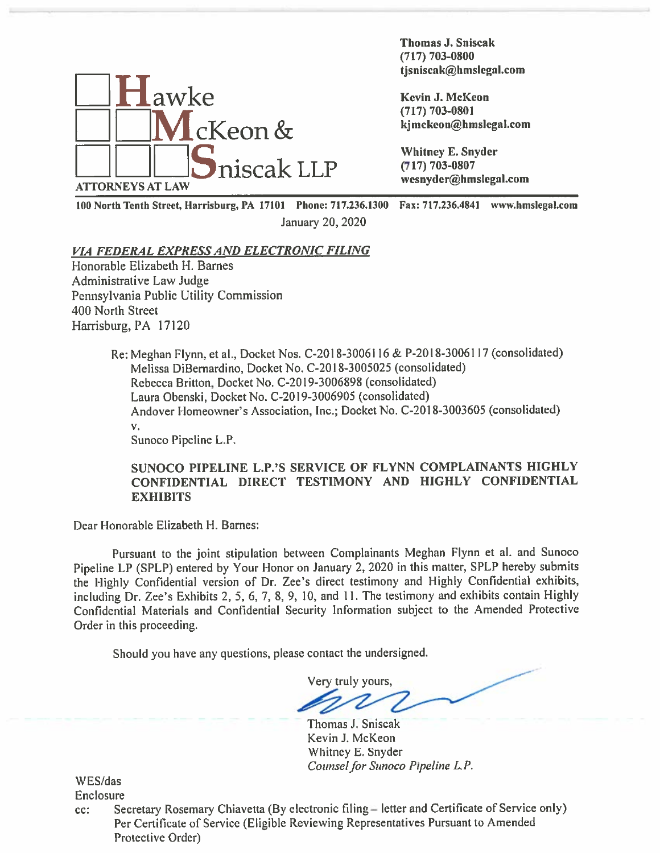

Thomas J. Sniscak (717) 703-0800  $\begin{array}{r} \text{Thomas J. Sniseak} \\ (717) 703-0800 \\ \text{tjsniseak@hmslegal.com} \end{array}$ 

100 North Tenth Street, Harrisburg, PA 17101 Phone: 717.236.1300 Fax: 717.236.4841 www.hmsIegal.com January 20, 2020

#### VIA FEDERAL EXPRESS AND ELECTRONIC FILING

Honorable Elizabeth H. Barnes Administrative Law Judge Pennsylvania Public Utility Commission 400 North Street Harrisburg, PA 17120

> Re: Meghan Flynn, et al., Docket Nos. C-20 18-3006116 & P-20 18-3006117 (consolidated) Melissa DiBemardino, Docket No. C-20 18-3005025 (consolidated) Rebecca Britton, Docket No. C-2019-3006898 (consolidated) Laura Obenski. Docket No. C-2019-3006905 (consolidated) Andover Homeowner's Association, Inc.; Docket No. C-2018-3003605 (consolidated) V.

Sunoco Pipeline L.P.

# SUNOCO PIPELINE L.P.'S SERVICE OF FLYNN COMPLAINANTS HIGHLY CONFIDENTIAL DIRECT TESTIMONY AND HIGHLY CONFIDENTIAL **EXHIBITS**

Dear Honorable Elizabeth H. Barnes:

Pursuant to the joint stipulation between Complainants Meghan Flynn et al. and Sunoco Pipeline LP (SPLP) entered by Your Honor on January 2, <sup>2020</sup> in this matter, SPLP hereby submits the Highly Confidential version of Dr. Zee's direct testimony and Highly Confidential exhibits, including Dr. Zee's Exhibits 2, 5, 6, 7, 8, 9, 10, and 11. The testimony and exhibits contain Highly Confidential Materials and Confidential Security Information subject to the Amended Protective Order in this proceeding.

Should you have any questions, <sup>p</sup>lease contact the undersigned.

Very truly yours,

Thomas J. Sniscak Kevin J. McKeon Whitney E. Snyder Counsel for Sunoco Pipeline L.P.

WES/das

Enclosure

cc: Secretary Rosemary Chiavetta (By electronic filing — letter and Certificate of Service only) Per Certificate of Service (Eligible Reviewing Representatives Pursuant to Amended Protective Order)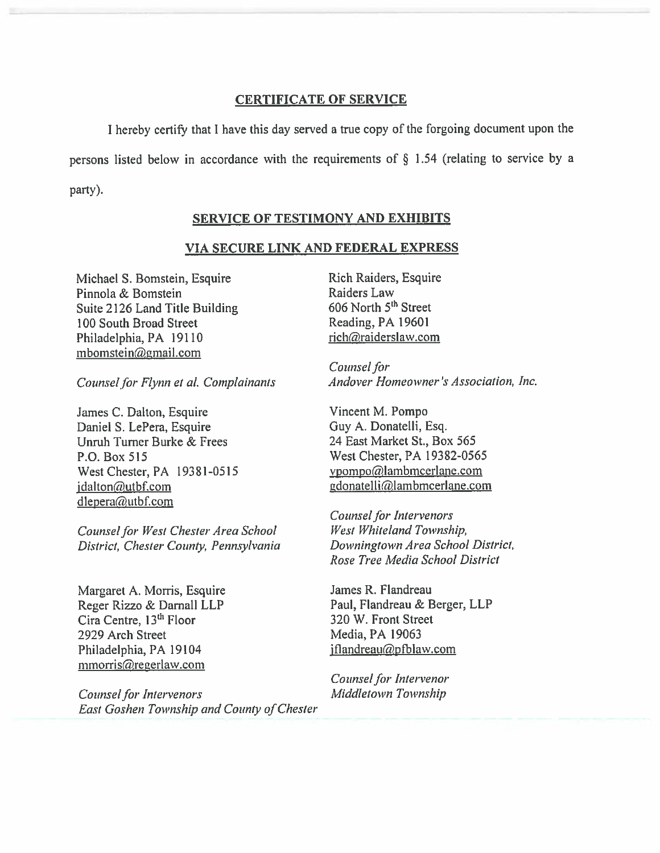### **CERTIFICATE OF SERVICE**

I hereby certify that I have this day served a true copy of the forgoing document upon the persons listed below in accordance with the requirements of  $\S$  1.54 (relating to service by a party).

# **SERVICE OF TESTIMONY AND EXHIBITS**

## VIA SECURE LINK AND FEDERAL EXPRESS

Michael S. Bomstein, Esquire Pinnola & Bomstein Suite 2126 Land Title Building 100 South Broad Street Philadelphia, PA 19110 mbomstein@gmail.com

Counsel for Flynn et al. Complainants

James C. Dalton, Esquire Daniel S. LePera, Esquire Unruh Turner Burke & Frees P.O. Box 515 West Chester, PA 19381-0515 jdalton@utbf.com dlepera@utbf.com

Counsel for West Chester Area School District, Chester County, Pennsylvania

Margaret A. Morris, Esquire Reger Rizzo & Darnall LLP Cira Centre, 13<sup>th</sup> Floor 2929 Arch Street Philadelphia, PA 19104 mmorris@regerlaw.com

**Counsel for Intervenors** East Goshen Township and County of Chester Rich Raiders, Esquire Raiders Law 606 North 5<sup>th</sup> Street Reading, PA 19601 rich@raiderslaw.com

Counsel for Andover Homeowner's Association, Inc.

Vincent M. Pompo Guy A. Donatelli, Esq. 24 East Market St., Box 565 West Chester, PA 19382-0565 vpompo@lambmcerlane.com gdonatelli@lambmcerlane.com

**Counsel for Intervenors** West Whiteland Township, Downingtown Area School District, Rose Tree Media School District

James R. Flandreau Paul, Flandreau & Berger, LLP 320 W. Front Street Media, PA 19063 iflandreau@pfblaw.com

Counsel for Intervenor Middletown Township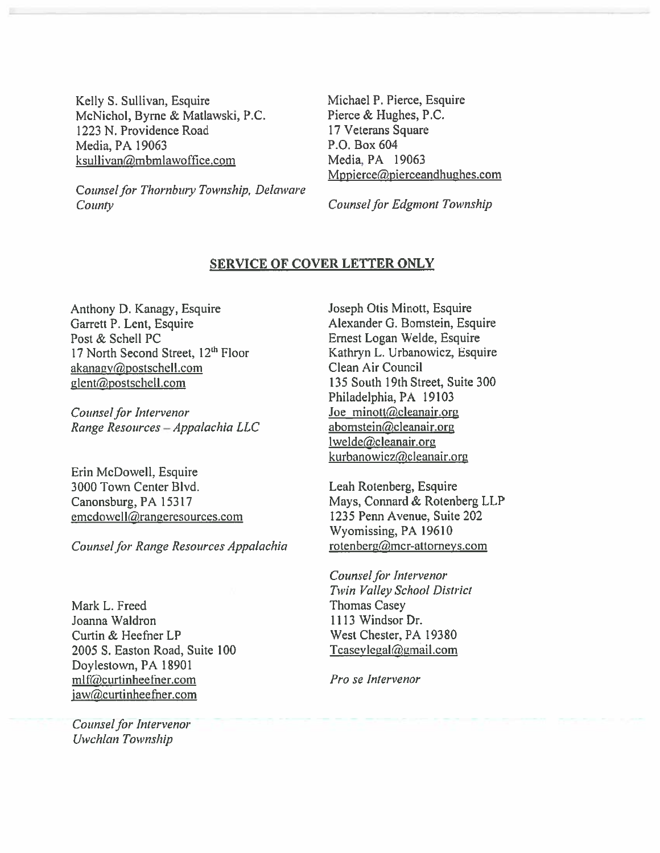Kelly S. Sullivan, Esquire McNichol, Byrne & Matlawski, P.C. 1223 N. Providence Road Media, PA 19063 ksullivan@mbmlawoffice.com

Michael P. Pierce, Esquire Pierce & Hughes, P.C. 17 Veterans Square P.O. Box 604 Media, PA 19063 Mppierce@pierceandhughes.com

Counsel for Thornbury Township, Delaware County

**Counsel for Edgmont Township** 

### **SERVICE OF COVER LETTER ONLY**

Anthony D. Kanagy, Esquire Garrett P. Lent, Esquire Post & Schell PC 17 North Second Street, 12<sup>th</sup> Floor akanagy@postschell.com glent@postschell.com

Counsel for Intervenor Range Resources - Appalachia LLC

Erin McDowell, Esquire 3000 Town Center Blvd. Canonsburg, PA 15317 emcdowell@rangeresources.com

Counsel for Range Resources Appalachia

Mark L. Freed Joanna Waldron Curtin & Heefner LP 2005 S. Easton Road, Suite 100 Doylestown, PA 18901 mlf@curtinheefner.com jaw@curtinheefner.com

Counsel for Intervenor Uwchlan Township

Joseph Otis Minott, Esquire Alexander G. Bomstein, Esquire Ernest Logan Welde, Esquire Kathryn L. Urbanowicz, Esquire Clean Air Council 135 South 19th Street, Suite 300 Philadelphia, PA 19103 Joe minott@cleanair.org abomstein@cleanair.org lwelde@cleanair.org kurbanowicz@cleanair.org

Leah Rotenberg, Esquire Mays, Connard & Rotenberg LLP 1235 Penn Avenue, Suite 202 Wyomissing, PA 19610 rotenberg@mcr-attorneys.com

Counsel for Intervenor Twin Valley School District **Thomas Casey** 1113 Windsor Dr. West Chester, PA 19380 Tcaseylegal@gmail.com

Pro se Intervenor